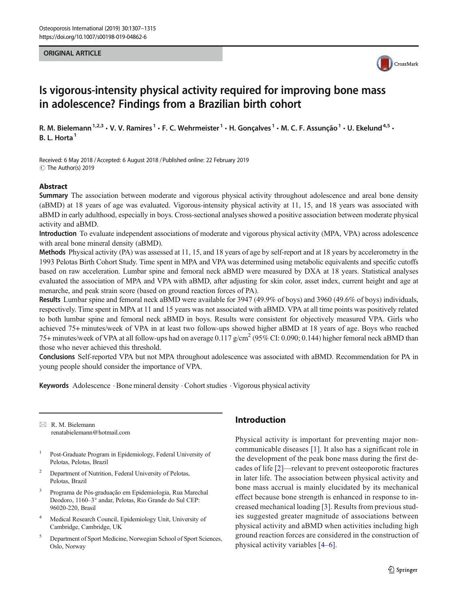#### ORIGINAL ARTICLE



# Is vigorous-intensity physical activity required for improving bone mass in adolescence? Findings from a Brazilian birth cohort

R. M. Bielemann<sup>1,2,3</sup> · V. V. Ramires<sup>1</sup> · F. C. Wehrmeister<sup>1</sup> · H. Gonçalves<sup>1</sup> · M. C. F. Assunção<sup>1</sup> · U. Ekelund<sup>4,5</sup> · B. L. Horta<sup>1</sup>

Received: 6 May 2018 /Accepted: 6 August 2018 /Published online: 22 February 2019 C The Author(s) 2019

#### Abstract

Summary The association between moderate and vigorous physical activity throughout adolescence and areal bone density (aBMD) at 18 years of age was evaluated. Vigorous-intensity physical activity at 11, 15, and 18 years was associated with aBMD in early adulthood, especially in boys. Cross-sectional analyses showed a positive association between moderate physical activity and aBMD.

Introduction To evaluate independent associations of moderate and vigorous physical activity (MPA, VPA) across adolescence with areal bone mineral density (aBMD).

Methods Physical activity (PA) was assessed at 11, 15, and 18 years of age by self-report and at 18 years by accelerometry in the 1993 Pelotas Birth Cohort Study. Time spent in MPA and VPA was determined using metabolic equivalents and specific cutoffs based on raw acceleration. Lumbar spine and femoral neck aBMD were measured by DXA at 18 years. Statistical analyses evaluated the association of MPA and VPA with aBMD, after adjusting for skin color, asset index, current height and age at menarche, and peak strain score (based on ground reaction forces of PA).

Results Lumbar spine and femoral neck aBMD were available for 3947 (49.9% of boys) and 3960 (49.6% of boys) individuals, respectively. Time spent in MPA at 11 and 15 years was not associated with aBMD. VPA at all time points was positively related to both lumbar spine and femoral neck aBMD in boys. Results were consistent for objectively measured VPA. Girls who achieved 75+ minutes/week of VPA in at least two follow-ups showed higher aBMD at 18 years of age. Boys who reached 75+ minutes/week of VPA at all follow-ups had on average  $0.117 \text{ g/cm}^2$  (95% CI: 0.090; 0.144) higher femoral neck aBMD than those who never achieved this threshold.

Conclusions Self-reported VPA but not MPA throughout adolescence was associated with aBMD. Recommendation for PA in young people should consider the importance of VPA.

Keywords Adolescence . Bone mineral density . Cohort studies . Vigorous physical activity

 $\boxtimes$  R. M. Bielemann [renatabielemann@hotmail.com](mailto:renatabielemann@hotmail.com)

- <sup>1</sup> Post-Graduate Program in Epidemiology, Federal University of Pelotas, Pelotas, Brazil
- <sup>2</sup> Department of Nutrition, Federal University of Pelotas, Pelotas, Brazil
- <sup>3</sup> Programa de Pós-graduação em Epidemiologia, Rua Marechal Deodoro, 1160–3° andar, Pelotas, Rio Grande do Sul CEP: 96020-220, Brasil
- <sup>4</sup> Medical Research Council, Epidemiology Unit, University of Cambridge, Cambridge, UK
- <sup>5</sup> Department of Sport Medicine, Norwegian School of Sport Sciences, Oslo, Norway

## Introduction

Physical activity is important for preventing major noncommunicable diseases [[1\]](#page-7-0). It also has a significant role in the development of the peak bone mass during the first decades of life [[2\]](#page-7-0)—relevant to prevent osteoporotic fractures in later life. The association between physical activity and bone mass accrual is mainly elucidated by its mechanical effect because bone strength is enhanced in response to increased mechanical loading [[3\]](#page-7-0). Results from previous studies suggested greater magnitude of associations between physical activity and aBMD when activities including high ground reaction forces are considered in the construction of physical activity variables [\[4](#page-7-0)–[6\]](#page-8-0).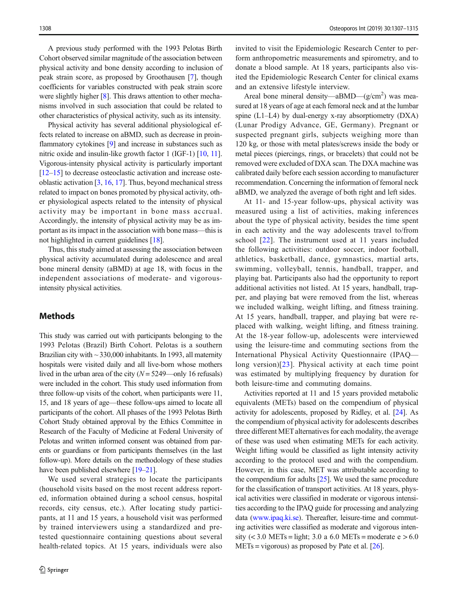A previous study performed with the 1993 Pelotas Birth Cohort observed similar magnitude of the association between physical activity and bone density according to inclusion of peak strain score, as proposed by Groothausen [\[7](#page-8-0)], though coefficients for variables constructed with peak strain score were slightly higher [[8\]](#page-8-0). This draws attention to other mechanisms involved in such association that could be related to other characteristics of physical activity, such as its intensity.

Physical activity has several additional physiological effects related to increase on aBMD, such as decrease in proinflammatory cytokines [\[9](#page-8-0)] and increase in substances such as nitric oxide and insulin-like growth factor 1 (IGF-1) [\[10](#page-8-0), [11\]](#page-8-0). Vigorous-intensity physical activity is particularly important [\[12](#page-8-0)–[15\]](#page-8-0) to decrease osteoclastic activation and increase osteoblastic activation [\[3,](#page-7-0) [16](#page-8-0), [17](#page-8-0)]. Thus, beyond mechanical stress related to impact on bones promoted by physical activity, other physiological aspects related to the intensity of physical activity may be important in bone mass accrual. Accordingly, the intensity of physical activity may be as important as its impact in the association with bone mass—this is not highlighted in current guidelines [\[18](#page-8-0)].

Thus, this study aimed at assessing the association between physical activity accumulated during adolescence and areal bone mineral density (aBMD) at age 18, with focus in the independent associations of moderate- and vigorousintensity physical activities.

## Methods

This study was carried out with participants belonging to the 1993 Pelotas (Brazil) Birth Cohort. Pelotas is a southern Brazilian city with  $\sim$  330,000 inhabitants. In 1993, all maternity hospitals were visited daily and all live-born whose mothers lived in the urban area of the city  $(N = 5249$ —only 16 refusals) were included in the cohort. This study used information from three follow-up visits of the cohort, when participants were 11, 15, and 18 years of age—these follow-ups aimed to locate all participants of the cohort. All phases of the 1993 Pelotas Birth Cohort Study obtained approval by the Ethics Committee in Research of the Faculty of Medicine at Federal University of Pelotas and written informed consent was obtained from parents or guardians or from participants themselves (in the last follow-up). More details on the methodology of these studies have been published elsewhere [\[19](#page-8-0)–[21\]](#page-8-0).

We used several strategies to locate the participants (household visits based on the most recent address reported, information obtained during a school census, hospital records, city census, etc.). After locating study participants, at 11 and 15 years, a household visit was performed by trained interviewers using a standardized and pretested questionnaire containing questions about several health-related topics. At 15 years, individuals were also invited to visit the Epidemiologic Research Center to perform anthropometric measurements and spirometry, and to donate a blood sample. At 18 years, participants also visited the Epidemiologic Research Center for clinical exams and an extensive lifestyle interview.

Areal bone mineral density—a $BMD$ — $(g/cm<sup>2</sup>)$  was measured at 18 years of age at each femoral neck and at the lumbar spine  $(L1-L4)$  by dual-energy x-ray absorptiometry  $(DXA)$ (Lunar Prodigy Advance, GE, Germany). Pregnant or suspected pregnant girls, subjects weighing more than 120 kg, or those with metal plates/screws inside the body or metal pieces (piercings, rings, or bracelets) that could not be removed were excluded of DXA scan. The DXA machine was calibrated daily before each session according to manufacturer recommendation. Concerning the information of femoral neck aBMD, we analyzed the average of both right and left sides.

At 11- and 15-year follow-ups, physical activity was measured using a list of activities, making inferences about the type of physical activity, besides the time spent in each activity and the way adolescents travel to/from school [\[22\]](#page-8-0). The instrument used at 11 years included the following activities: outdoor soccer, indoor football, athletics, basketball, dance, gymnastics, martial arts, swimming, volleyball, tennis, handball, trapper, and playing bat. Participants also had the opportunity to report additional activities not listed. At 15 years, handball, trapper, and playing bat were removed from the list, whereas we included walking, weight lifting, and fitness training. At 15 years, handball, trapper, and playing bat were replaced with walking, weight lifting, and fitness training. At the 18-year follow-up, adolescents were interviewed using the leisure-time and commuting sections from the International Physical Activity Questionnaire (IPAQ long version) $[23]$  $[23]$  $[23]$ . Physical activity at each time point was estimated by multiplying frequency by duration for both leisure-time and commuting domains.

Activities reported at 11 and 15 years provided metabolic equivalents (METs) based on the compendium of physical activity for adolescents, proposed by Ridley, et al. [\[24](#page-8-0)]. As the compendium of physical activity for adolescents describes three different MET alternatives for each modality, the average of these was used when estimating METs for each activity. Weight lifting would be classified as light intensity activity according to the protocol used and with the compendium. However, in this case, MET was attributable according to the compendium for adults  $[25]$  $[25]$ . We used the same procedure for the classification of transport activities. At 18 years, physical activities were classified in moderate or vigorous intensities according to the IPAQ guide for processing and analyzing data ([www.ipaq.ki.se\)](http://www.ipaq.ki.se). Thereafter, leisure-time and commuting activities were classified as moderate and vigorous intensity (< 3.0 METs = light; 3.0 a 6.0 METs = moderate  $e > 6.0$  $METs = vigorous)$  as proposed by Pate et al. [\[26](#page-8-0)].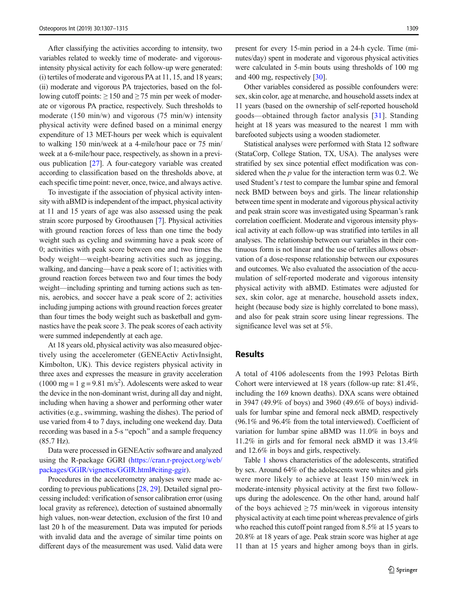After classifying the activities according to intensity, two variables related to weekly time of moderate- and vigorousintensity physical activity for each follow-up were generated: (i) tertiles of moderate and vigorous PA at 11, 15, and 18 years; (ii) moderate and vigorous PA trajectories, based on the following cutoff points:  $\geq 150$  and  $\geq 75$  min per week of moderate or vigorous PA practice, respectively. Such thresholds to moderate (150 min/w) and vigorous (75 min/w) intensity physical activity were defined based on a minimal energy expenditure of 13 MET-hours per week which is equivalent to walking 150 min/week at a 4-mile/hour pace or 75 min/ week at a 6-mile/hour pace, respectively, as shown in a previous publication [[27](#page-8-0)]. A four-category variable was created according to classification based on the thresholds above, at each specific time point: never, once, twice, and always active.

To investigate if the association of physical activity intensity with aBMD is independent of the impact, physical activity at 11 and 15 years of age was also assessed using the peak strain score purposed by Groothausen [[7](#page-8-0)]. Physical activities with ground reaction forces of less than one time the body weight such as cycling and swimming have a peak score of 0; activities with peak score between one and two times the body weight—weight-bearing activities such as jogging, walking, and dancing—have a peak score of 1; activities with ground reaction forces between two and four times the body weight—including sprinting and turning actions such as tennis, aerobics, and soccer have a peak score of 2; activities including jumping actions with ground reaction forces greater than four times the body weight such as basketball and gymnastics have the peak score 3. The peak scores of each activity were summed independently at each age.

At 18 years old, physical activity was also measured objectively using the accelerometer (GENEActiv ActivInsight, Kimbolton, UK). This device registers physical activity in three axes and expresses the measure in gravity acceleration  $(1000 \text{ mg} = 1 \text{ g} = 9.81 \text{ m/s}^2)$ . Adolescents were asked to wear the device in the non-dominant wrist, during all day and night, including when having a shower and performing other water activities (e.g., swimming, washing the dishes). The period of use varied from 4 to 7 days, including one weekend day. Data recording was based in a 5-s "epoch" and a sample frequency (85.7 Hz).

Data were processed in GENEActiv software and analyzed using the R-package GGRI [\(https://cran.r-project.org/web/](https://cran.r-project.org/web/packages/GGIR/vignettes/GGIR.html#citing-ggir) [packages/GGIR/vignettes/GGIR.html#citing-ggir](https://cran.r-project.org/web/packages/GGIR/vignettes/GGIR.html#citing-ggir)).

Procedures in the accelerometry analyses were made according to previous publications [[28,](#page-8-0) [29](#page-8-0)]. Detailed signal processing included: verification of sensor calibration error (using local gravity as reference), detection of sustained abnormally high values, non-wear detection, exclusion of the first 10 and last 20 h of the measurement. Data was imputed for periods with invalid data and the average of similar time points on different days of the measurement was used. Valid data were present for every 15-min period in a 24-h cycle. Time (minutes/day) spent in moderate and vigorous physical activities were calculated in 5-min bouts using thresholds of 100 mg and 400 mg, respectively [\[30\]](#page-8-0).

Other variables considered as possible confounders were: sex, skin color, age at menarche, and household assets index at 11 years (based on the ownership of self-reported household goods—obtained through factor analysis [[31](#page-8-0)]. Standing height at 18 years was measured to the nearest 1 mm with barefooted subjects using a wooden stadiometer.

Statistical analyses were performed with Stata 12 software (StataCorp, College Station, TX, USA). The analyses were stratified by sex since potential effect modification was considered when the  $p$  value for the interaction term was 0.2. We used Student's t test to compare the lumbar spine and femoral neck BMD between boys and girls. The linear relationship between time spent in moderate and vigorous physical activity and peak strain score was investigated using Spearman's rank correlation coefficient. Moderate and vigorous intensity physical activity at each follow-up was stratified into tertiles in all analyses. The relationship between our variables in their continuous form is not linear and the use of tertiles allows observation of a dose-response relationship between our exposures and outcomes. We also evaluated the association of the accumulation of self-reported moderate and vigorous intensity physical activity with aBMD. Estimates were adjusted for sex, skin color, age at menarche, household assets index, height (because body size is highly correlated to bone mass), and also for peak strain score using linear regressions. The significance level was set at 5%.

#### Results

A total of 4106 adolescents from the 1993 Pelotas Birth Cohort were interviewed at 18 years (follow-up rate: 81.4%, including the 169 known deaths). DXA scans were obtained in 3947 (49.9% of boys) and 3960 (49.6% of boys) individuals for lumbar spine and femoral neck aBMD, respectively (96.1% and 96.4% from the total interviewed). Coefficient of variation for lumbar spine aBMD was 11.0% in boys and 11.2% in girls and for femoral neck aBMD it was 13.4% and 12.6% in boys and girls, respectively.

Table [1](#page-3-0) shows characteristics of the adolescents, stratified by sex. Around 64% of the adolescents were whites and girls were more likely to achieve at least 150 min/week in moderate-intensity physical activity at the first two followups during the adolescence. On the other hand, around half of the boys achieved  $\geq$  75 min/week in vigorous intensity physical activity at each time point whereas prevalence of girls who reached this cutoff point ranged from 8.5% at 15 years to 20.8% at 18 years of age. Peak strain score was higher at age 11 than at 15 years and higher among boys than in girls.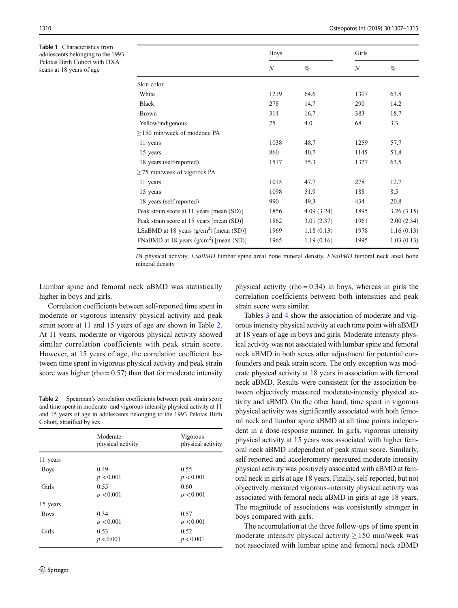<span id="page-3-0"></span>Table 1 Characteristics from adolescents belonging to the 1993 Pelotas Birth Cohort with DXA scans at 18 years of age

|                                           | <b>Boys</b>  |            | Girls            |            |
|-------------------------------------------|--------------|------------|------------------|------------|
|                                           | $\mathcal N$ | $\%$       | $\boldsymbol{N}$ | $\%$       |
| Skin color                                |              |            |                  |            |
| White                                     | 1219         | 64.6       | 1307             | 63.8       |
| <b>Black</b>                              | 278          | 14.7       | 290              | 14.2       |
| <b>Brown</b>                              | 314          | 16.7       | 383              | 18.7       |
| Yellow/indigenous                         | 75           | 4.0        | 68               | 3.3        |
| $\geq$ 150 min/week of moderate PA        |              |            |                  |            |
| 11 years                                  | 1038         | 48.7       | 1259             | 57.7       |
| 15 years                                  | 860          | 40.7       | 1145             | 51.8       |
| 18 years (self-reported)                  | 1517         | 75.3       | 1327             | 63.5       |
| $\geq$ 75 min/week of vigorous PA         |              |            |                  |            |
| 11 years                                  | 1015         | 47.7       | 278              | 12.7       |
| 15 years                                  | 1098         | 51.9       | 188              | 8.5        |
| 18 years (self-reported)                  | 990          | 49.3       | 434              | 20.8       |
| Peak strain score at 11 years [mean (SD)] | 1856         | 4.09(3.24) | 1895             | 3.26(3.15) |
| Peak strain score at 15 years [mean (SD)] | 1862         | 3.01(2.37) | 1961             | 2.00(2.34) |
| LSaBMD at 18 years $(g/cm^2)$ [mean (SD)] | 1969         | 1.18(0.13) | 1978             | 1.16(0.13) |
| FNaBMD at 18 years $(g/cm^2)$ [mean (SD)] | 1965         | 1.19(0.16) | 1995             | 1.03(0.13) |

PA physical activity, LSaBMD lumbar spine areal bone mineral density, FNaBMD femoral neck areal bone mineral density

Lumbar spine and femoral neck aBMD was statistically higher in boys and girls.

Correlation coefficients between self-reported time spent in moderate or vigorous intensity physical activity and peak strain score at 11 and 15 years of age are shown in Table 2. At 11 years, moderate or vigorous physical activity showed similar correlation coefficients with peak strain score. However, at 15 years of age, the correlation coefficient between time spent in vigorous physical activity and peak strain score was higher (rho =  $0.57$ ) than that for moderate intensity

Table 2 Spearman's correlation coefficients between peak strain score and time spent in moderate- and vigorous-intensity physical activity at 11 and 15 years of age in adolescents belonging to the 1993 Pelotas Birth Cohort, stratified by sex

|             | Moderate<br>physical activity | <b>Vigorous</b><br>physical activity |
|-------------|-------------------------------|--------------------------------------|
| 11 years    |                               |                                      |
| <b>Boys</b> | 0.49<br>p < 0.001             | 0.55<br>p < 0.001                    |
| Girls       | 0.55<br>p < 0.001             | 0.60<br>p < 0.001                    |
| 15 years    |                               |                                      |
| <b>Boys</b> | 0.34<br>p < 0.001             | 0.57<br>p < 0.001                    |
| Girls       | 0.53<br>p < 0.001             | 0.52<br>p < 0.001                    |

physical activity (rho =  $0.34$ ) in boys, whereas in girls the correlation coefficients between both intensities and peak strain score were similar.

Tables [3](#page-4-0) and [4](#page-5-0) show the association of moderate and vigorous intensity physical activity at each time point with aBMD at 18 years of age in boys and girls. Moderate intensity physical activity was not associated with lumbar spine and femoral neck aBMD in both sexes after adjustment for potential confounders and peak strain score. The only exception was moderate physical activity at 18 years in association with femoral neck aBMD. Results were consistent for the association between objectively measured moderate-intensity physical activity and aBMD. On the other hand, time spent in vigorous physical activity was significantly associated with both femoral neck and lumbar spine aBMD at all time points independent in a dose-response manner. In girls, vigorous intensity physical activity at 15 years was associated with higher femoral neck aBMD independent of peak strain score. Similarly, self-reported and accelerometry-measured moderate intensity physical activity was positively associated with aBMD at femoral neck in girls at age 18 years. Finally, self-reported, but not objectively measured vigorous-intensity physical activity was associated with femoral neck aBMD in girls at age 18 years. The magnitude of associations was consistently stronger in boys compared with girls.

The accumulation at the three follow-ups of time spent in moderate intensity physical activity  $\geq 150$  min/week was not associated with lumbar spine and femoral neck aBMD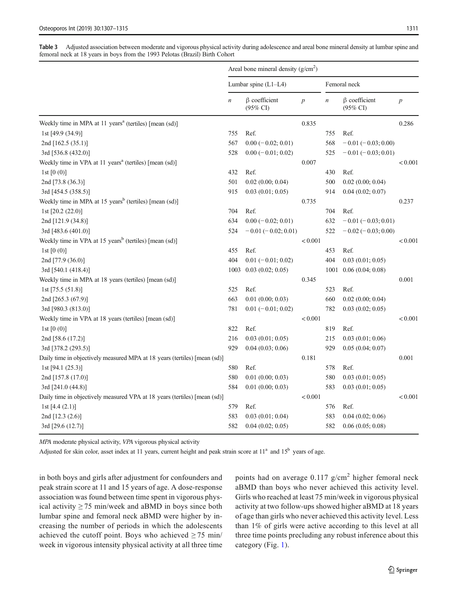<span id="page-4-0"></span>Table 3 Adjusted association between moderate and vigorous physical activity during adolescence and areal bone mineral density at lumbar spine and femoral neck at 18 years in boys from the 1993 Pelotas (Brazil) Birth Cohort

|                                                                           | Areal bone mineral density $(g/cm2)$ |                                            |                  |                  |                                            |                  |
|---------------------------------------------------------------------------|--------------------------------------|--------------------------------------------|------------------|------------------|--------------------------------------------|------------------|
|                                                                           | Lumbar spine $(L1-L4)$               |                                            |                  | Femoral neck     |                                            |                  |
|                                                                           | $\boldsymbol{n}$                     | $\beta$ coefficient<br>$(95\% \text{ CI})$ | $\boldsymbol{p}$ | $\boldsymbol{n}$ | $\beta$ coefficient<br>$(95\% \text{ CI})$ | $\boldsymbol{p}$ |
| Weekly time in MPA at 11 years <sup>a</sup> (tertiles) [mean (sd)]        |                                      |                                            | 0.835            |                  |                                            | 0.286            |
| 1st [49.9 (34.9)]                                                         | 755                                  | Ref.                                       |                  | 755              | Ref.                                       |                  |
| 2nd [162.5 (35.1)]                                                        | 567                                  | $0.00 (-0.02; 0.01)$                       |                  | 568              | $-0.01(-0.03;0.00)$                        |                  |
| 3rd [536.8 (432.0)]                                                       | 528                                  | $0.00 (-0.01; 0.02)$                       |                  | 525              | $-0.01(-0.03;0.01)$                        |                  |
| Weekly time in VPA at 11 years <sup>a</sup> (tertiles) [mean (sd)]        |                                      |                                            | 0.007            |                  |                                            | < 0.001          |
| 1st $[0(0)]$                                                              | 432                                  | Ref.                                       |                  | 430              | Ref.                                       |                  |
| 2nd [73.8 (36.3)]                                                         | 501                                  | 0.02(0.00; 0.04)                           |                  | 500              | $0.02$ $(0.00; 0.04)$                      |                  |
| 3rd [454.5 (358.5)]                                                       | 915                                  | 0.03(0.01; 0.05)                           |                  | 914              | 0.04(0.02; 0.07)                           |                  |
| Weekly time in MPA at 15 years <sup>b</sup> (tertiles) [mean (sd)]        |                                      |                                            | 0.735            |                  |                                            | 0.237            |
| 1st [20.2 (22.0)]                                                         | 704                                  | Ref.                                       |                  | 704              | Ref.                                       |                  |
| 2nd [121.9 (34.8)]                                                        | 634                                  | $0.00 (-0.02; 0.01)$                       |                  | 632              | $-0.01(-0.03; 0.01)$                       |                  |
| 3rd [483.6 (401.0)]                                                       | 524                                  | $-0.01(-0.02; 0.01)$                       |                  | 522              | $-0.02$ ( $-0.03$ ; 0.00)                  |                  |
| Weekly time in VPA at 15 years <sup>b</sup> (tertiles) [mean (sd)]        |                                      |                                            | < 0.001          |                  |                                            | < 0.001          |
| 1st $[0(0)]$                                                              | 455                                  | Ref.                                       |                  | 453              | Ref.                                       |                  |
| 2nd [77.9 (36.0)]                                                         | 404                                  | $0.01 (-0.01; 0.02)$                       |                  | 404              | 0.03(0.01; 0.05)                           |                  |
| 3rd [540.1 (418.4)]                                                       | 1003                                 | 0.03(0.02; 0.05)                           |                  | 1001             | 0.06(0.04; 0.08)                           |                  |
| Weekly time in MPA at 18 years (tertiles) [mean (sd)]                     |                                      |                                            | 0.345            |                  |                                            | 0.001            |
| 1st $[75.5 (51.8)]$                                                       | 525                                  | Ref.                                       |                  | 523              | Ref.                                       |                  |
| 2nd [265.3 (67.9)]                                                        | 663                                  | $0.01$ $(0.00; 0.03)$                      |                  | 660              | $0.02$ $(0.00; 0.04)$                      |                  |
| 3rd [980.3 (813.0)]                                                       | 781                                  | $0.01 (-0.01; 0.02)$                       |                  | 782              | 0.03(0.02; 0.05)                           |                  |
| Weekly time in VPA at 18 years (tertiles) [mean (sd)]                     |                                      |                                            | < 0.001          |                  |                                            | < 0.001          |
| 1st $[0(0)]$                                                              | 822                                  | Ref.                                       |                  | 819              | Ref.                                       |                  |
| 2nd [58.6 (17.2)]                                                         | 216                                  | 0.03(0.01; 0.05)                           |                  | 215              | 0.03(0.01; 0.06)                           |                  |
| 3rd [378.2 (293.5)]                                                       | 929                                  | 0.04(0.03; 0.06)                           |                  | 929              | 0.05(0.04;0.07)                            |                  |
| Daily time in objectively measured MPA at 18 years (tertiles) [mean (sd)] |                                      |                                            | 0.181            |                  |                                            | 0.001            |
| 1st $[94.1 (25.3)]$                                                       | 580                                  | Ref.                                       |                  | 578              | Ref.                                       |                  |
| 2nd [157.8 (17.0)]                                                        | 580                                  | 0.01(0.00; 0.03)                           |                  | 580              | 0.03(0.01; 0.05)                           |                  |
| 3rd [241.0 (44.8)]                                                        | 584                                  | 0.01(0.00; 0.03)                           |                  | 583              | 0.03(0.01; 0.05)                           |                  |
| Daily time in objectively measured VPA at 18 years (tertiles) [mean (sd)] |                                      |                                            | < 0.001          |                  |                                            | < 0.001          |
| 1st $[4.4 (2.1)]$                                                         | 579                                  | Ref.                                       |                  | 576              | Ref.                                       |                  |
| 2nd [12.3 (2.6)]                                                          | 583                                  | 0.03(0.01; 0.04)                           |                  | 583              | 0.04(0.02; 0.06)                           |                  |
| 3rd [29.6 (12.7)]                                                         | 582                                  | 0.04(0.02; 0.05)                           |                  | 582              | 0.06(0.05; 0.08)                           |                  |

MPA moderate physical activity, VPA vigorous physical activity

Adjusted for skin color, asset index at 11 years, current height and peak strain score at  $11<sup>a</sup>$  and  $15<sup>b</sup>$  years of age.

in both boys and girls after adjustment for confounders and peak strain score at 11 and 15 years of age. A dose-response association was found between time spent in vigorous physical activity  $\geq$  75 min/week and aBMD in boys since both lumbar spine and femoral neck aBMD were higher by increasing the number of periods in which the adolescents achieved the cutoff point. Boys who achieved  $\geq 75$  min/ week in vigorous intensity physical activity at all three time points had on average  $0.117$  g/cm<sup>2</sup> higher femoral neck aBMD than boys who never achieved this activity level. Girls who reached at least 75 min/week in vigorous physical activity at two follow-ups showed higher aBMD at 18 years of age than girls who never achieved this activity level. Less than 1% of girls were active according to this level at all three time points precluding any robust inference about this category (Fig. [1](#page-6-0)).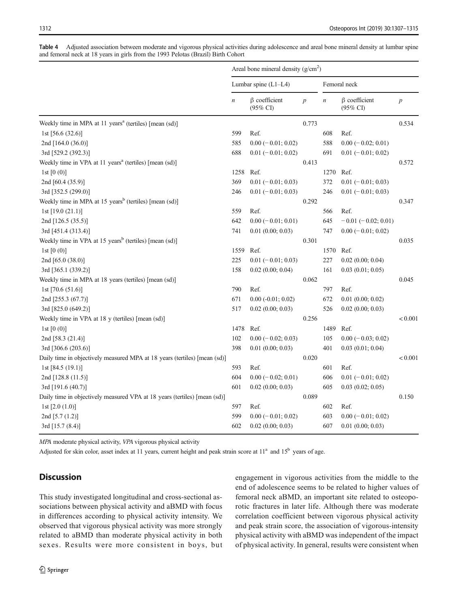|                                                                           | Areal bone mineral density $(g/cm2)$ |                                 |                  |                  |                                            |                  |
|---------------------------------------------------------------------------|--------------------------------------|---------------------------------|------------------|------------------|--------------------------------------------|------------------|
|                                                                           | Lumbar spine $(L1-L4)$               |                                 |                  | Femoral neck     |                                            |                  |
|                                                                           | $\boldsymbol{n}$                     | $\beta$ coefficient<br>(95% CI) | $\boldsymbol{p}$ | $\boldsymbol{n}$ | $\beta$ coefficient<br>$(95\% \text{ CI})$ | $\boldsymbol{p}$ |
| Weekly time in MPA at 11 years <sup>a</sup> (tertiles) [mean (sd)]        |                                      |                                 | 0.773            |                  |                                            | 0.534            |
| 1st $[56.6 (32.6)]$                                                       | 599                                  | Ref.                            |                  | 608              | Ref.                                       |                  |
| 2nd [164.0 (36.0)]                                                        | 585                                  | $0.00 (-0.01; 0.02)$            |                  | 588              | $0.00 (-0.02; 0.01)$                       |                  |
| 3rd [529.2 (392.3)]                                                       | 688                                  | $0.01 (-0.01; 0.02)$            |                  | 691              | $0.01 (-0.01; 0.02)$                       |                  |
| Weekly time in VPA at 11 years <sup>a</sup> (tertiles) [mean (sd)]        |                                      |                                 | 0.413            |                  |                                            | 0.572            |
| 1st $[0(0)]$                                                              | 1258                                 | Ref.                            |                  | 1270             | Ref.                                       |                  |
| 2nd [60.4 (35.9)]                                                         | 369                                  | $0.01 (-0.01; 0.03)$            |                  | 372              | $0.01 (-0.01; 0.03)$                       |                  |
| 3rd [352.5 (299.0)]                                                       | 246                                  | $0.01 (-0.01; 0.03)$            |                  | 246              | $0.01 (-0.01; 0.03)$                       |                  |
| Weekly time in MPA at 15 years <sup>b</sup> (tertiles) [mean (sd)]        |                                      |                                 | 0.292            |                  |                                            | 0.347            |
| 1st $[19.0 (21.1)]$                                                       | 559                                  | Ref.                            |                  | 566              | Ref.                                       |                  |
| 2nd [126.5 (35.5)]                                                        | 642                                  | $0.00 (-0.01; 0.01)$            |                  | 645              | $-0.01$ ( $-0.02$ ; 0.01)                  |                  |
| 3rd [451.4 (313.4)]                                                       | 741                                  | $0.01$ $(0.00; 0.03)$           |                  | 747              | $0.00 (-0.01; 0.02)$                       |                  |
| Weekly time in VPA at 15 years <sup>b</sup> (tertiles) [mean (sd)]        |                                      |                                 | 0.301            |                  |                                            | 0.035            |
| 1st $[0(0)]$                                                              | 1559                                 | Ref.                            |                  | 1570             | Ref.                                       |                  |
| 2nd [65.0 (38.0)]                                                         | 225                                  | $0.01 (-0.01; 0.03)$            |                  | 227              | $0.02$ $(0.00; 0.04)$                      |                  |
| 3rd [365.1 (339.2)]                                                       | 158                                  | 0.02(0.00; 0.04)                |                  | 161              | 0.03(0.01; 0.05)                           |                  |
| Weekly time in MPA at 18 years (tertiles) [mean (sd)]                     |                                      |                                 | 0.062            |                  |                                            | 0.045            |
| 1st $[70.6 (51.6)]$                                                       | 790                                  | Ref.                            |                  | 797              | Ref.                                       |                  |
| 2nd [255.3 (67.7)]                                                        | 671                                  | $0.00 (-0.01; 0.02)$            |                  | 672              | $0.01$ $(0.00; 0.02)$                      |                  |
| 3rd [825.0 (649.2)]                                                       | 517                                  | $0.02$ $(0.00; 0.03)$           |                  | 526              | $0.02$ $(0.00; 0.03)$                      |                  |
| Weekly time in VPA at 18 y (tertiles) [mean (sd)]                         |                                      |                                 | 0.256            |                  |                                            | < 0.001          |
| 1st $[0(0)]$                                                              | 1478                                 | Ref.                            |                  | 1489             | Ref.                                       |                  |
| 2nd [58.3 (21.4)]                                                         | 102                                  | $0.00 (-0.02; 0.03)$            |                  | 105              | $0.00 (-0.03; 0.02)$                       |                  |
| 3rd [306.6 (203.6)]                                                       | 398                                  | 0.01(0.00; 0.03)                |                  | 401              | 0.03(0.01; 0.04)                           |                  |
| Daily time in objectively measured MPA at 18 years (tertiles) [mean (sd)] |                                      |                                 | 0.020            |                  |                                            | < 0.001          |
| 1st [84.5 (19.1)]                                                         | 593                                  | Ref.                            |                  | 601              | Ref.                                       |                  |
| 2nd [128.8 (11.5)]                                                        | 604                                  | $0.00 (-0.02; 0.01)$            |                  | 606              | $0.01 (-0.01; 0.02)$                       |                  |
| 3rd [191.6 (40.7)]                                                        | 601                                  | 0.02(0.00; 0.03)                |                  | 605              | $0.03$ $(0.02; 0.05)$                      |                  |
| Daily time in objectively measured VPA at 18 years (tertiles) [mean (sd)] |                                      |                                 | 0.089            |                  |                                            | 0.150            |
| 1st $[2.0 (1.0)]$                                                         | 597                                  | Ref.                            |                  | 602              | Ref.                                       |                  |
| 2nd [5.7 (1.2)]                                                           | 599                                  | $0.00 (-0.01; 0.02)$            |                  | 603              | $0.00 (-0.01; 0.02)$                       |                  |
| 3rd [15.7 (8.4)]                                                          | 602                                  | 0.02(0.00; 0.03)                |                  | 607              | $0.01$ $(0.00; 0.03)$                      |                  |

<span id="page-5-0"></span>Table 4 Adjusted association between moderate and vigorous physical activities during adolescence and areal bone mineral density at lumbar spine and femoral neck at 18 years in girls from the 1993 Pelotas (Brazil) Birth Cohort

MPA moderate physical activity, VPA vigorous physical activity

Adjusted for skin color, asset index at 11 years, current height and peak strain score at  $11^a$  and  $15^b$  years of age.

# **Discussion**

This study investigated longitudinal and cross-sectional associations between physical activity and aBMD with focus in differences according to physical activity intensity. We observed that vigorous physical activity was more strongly related to aBMD than moderate physical activity in both sexes. Results were more consistent in boys, but engagement in vigorous activities from the middle to the end of adolescence seems to be related to higher values of femoral neck aBMD, an important site related to osteoporotic fractures in later life. Although there was moderate correlation coefficient between vigorous physical activity and peak strain score, the association of vigorous-intensity physical activity with aBMD was independent of the impact of physical activity. In general, results were consistent when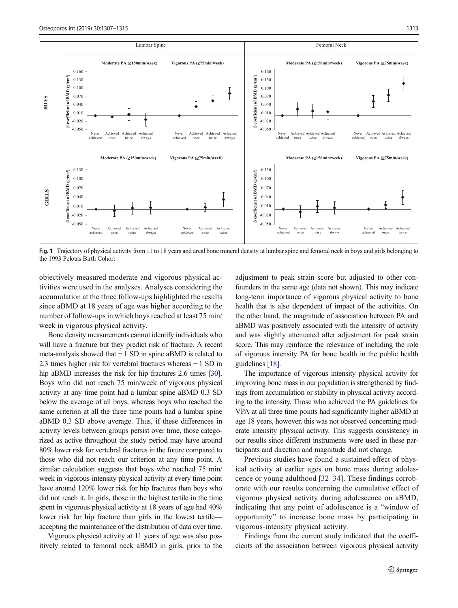<span id="page-6-0"></span>

Fig. 1 Trajectory of physical activity from 11 to 18 years and areal bone mineral density at lumbar spine and femoral neck in boys and girls belonging to the 1993 Pelotas Birth Cohort

objectively measured moderate and vigorous physical activities were used in the analyses. Analyses considering the accumulation at the three follow-ups highlighted the results since aBMD at 18 years of age was higher according to the number of follow-ups in which boys reached at least 75 min/ week in vigorous physical activity.

Bone density measurements cannot identify individuals who will have a fracture but they predict risk of fracture. A recent meta-analysis showed that − 1 SD in spine aBMD is related to 2.3 times higher risk for vertebral fractures whereas − 1 SD in hip aBMD increases the risk for hip fractures 2.6 times [\[30\]](#page-8-0). Boys who did not reach 75 min/week of vigorous physical activity at any time point had a lumbar spine aBMD 0.3 SD below the average of all boys, whereas boys who reached the same criterion at all the three time points had a lumbar spine aBMD 0.3 SD above average. Thus, if these differences in activity levels between groups persist over time, those categorized as active throughout the study period may have around 80% lower risk for vertebral fractures in the future compared to those who did not reach our criterion at any time point. A similar calculation suggests that boys who reached 75 min/ week in vigorous-intensity physical activity at every time point have around 120% lower risk for hip fractures than boys who did not reach it. In girls, those in the highest tertile in the time spent in vigorous physical activity at 18 years of age had 40% lower risk for hip fracture than girls in the lowest tertile accepting the maintenance of the distribution of data over time.

Vigorous physical activity at 11 years of age was also positively related to femoral neck aBMD in girls, prior to the adjustment to peak strain score but adjusted to other confounders in the same age (data not shown). This may indicate long-term importance of vigorous physical activity to bone health that is also dependent of impact of the activities. On the other hand, the magnitude of association between PA and aBMD was positively associated with the intensity of activity and was slightly attenuated after adjustment for peak strain score. This may reinforce the relevance of including the role of vigorous intensity PA for bone health in the public health guidelines [[18](#page-8-0)].

The importance of vigorous intensity physical activity for improving bone mass in our population is strengthened by findings from accumulation or stability in physical activity according to the intensity. Those who achieved the PA guidelines for VPA at all three time points had significantly higher aBMD at age 18 years, however, this was not observed concerning moderate intensity physical activity. This suggests consistency in our results since different instruments were used in these participants and direction and magnitude did not change.

Previous studies have found a sustained effect of physical activity at earlier ages on bone mass during adolescence or young adulthood [[32](#page-8-0)–[34](#page-8-0)]. These findings corroborate with our results concerning the cumulative effect of vigorous physical activity during adolescence on aBMD, indicating that any point of adolescence is a "window of opportunity^ to increase bone mass by participating in vigorous-intensity physical activity.

Findings from the current study indicated that the coefficients of the association between vigorous physical activity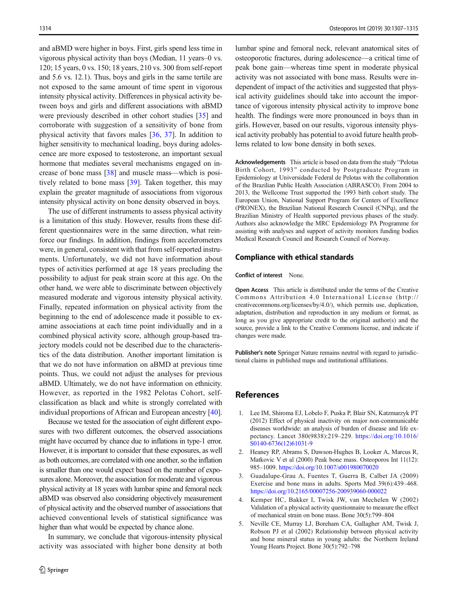<span id="page-7-0"></span>and aBMD were higher in boys. First, girls spend less time in vigorous physical activity than boys (Median, 11 years–0 vs. 120; 15 years, 0 vs. 150; 18 years, 210 vs. 300 from self-report and 5.6 vs. 12.1). Thus, boys and girls in the same tertile are not exposed to the same amount of time spent in vigorous intensity physical activity. Differences in physical activity between boys and girls and different associations with aBMD were previously described in other cohort studies [\[35\]](#page-8-0) and corroborate with suggestion of a sensitivity of bone from physical activity that favors males [[36,](#page-8-0) [37\]](#page-8-0). In addition to higher sensitivity to mechanical loading, boys during adolescence are more exposed to testosterone, an important sexual hormone that mediates several mechanisms engaged on increase of bone mass [[38](#page-8-0)] and muscle mass—which is positively related to bone mass [[39\]](#page-8-0). Taken together, this may explain the greater magnitude of associations from vigorous intensity physical activity on bone density observed in boys.

The use of different instruments to assess physical activity is a limitation of this study. However, results from these different questionnaires were in the same direction, what reinforce our findings. In addition, findings from accelerometers were, in general, consistent with that from self-reported instruments. Unfortunately, we did not have information about types of activities performed at age 18 years precluding the possibility to adjust for peak strain score at this age. On the other hand, we were able to discriminate between objectively measured moderate and vigorous intensity physical activity. Finally, repeated information on physical activity from the beginning to the end of adolescence made it possible to examine associations at each time point individually and in a combined physical activity score, although group-based trajectory models could not be described due to the characteristics of the data distribution. Another important limitation is that we do not have information on aBMD at previous time points. Thus, we could not adjust the analyses for previous aBMD. Ultimately, we do not have information on ethnicity. However, as reported in the 1982 Pelotas Cohort, selfclassification as black and white is strongly correlated with individual proportions of African and European ancestry [[40\]](#page-8-0).

Because we tested for the association of eight different exposures with two different outcomes, the observed associations might have occurred by chance due to inflations in type-1 error. However, it is important to consider that these exposures, as well as both outcomes, are correlated with one another, so the inflation is smaller than one would expect based on the number of exposures alone. Moreover, the association for moderate and vigorous physical activity at 18 years with lumbar spine and femoral neck aBMD was observed also considering objectively measurement of physical activity and the observed number of associations that achieved conventional levels of statistical significance was higher than what would be expected by chance alone.

In summary, we conclude that vigorous-intensity physical activity was associated with higher bone density at both

lumbar spine and femoral neck, relevant anatomical sites of osteoporotic fractures, during adolescence—a critical time of peak bone gain—whereas time spent in moderate physical activity was not associated with bone mass. Results were independent of impact of the activities and suggested that physical activity guidelines should take into account the importance of vigorous intensity physical activity to improve bone health. The findings were more pronounced in boys than in girls. However, based on our results, vigorous intensity physical activity probably has potential to avoid future health problems related to low bone density in both sexes.

Acknowledgements This article is based on data from the study "Pelotas" Birth Cohort, 1993" conducted by Postgraduate Program in Epidemiology at Universidade Federal de Pelotas with the collaboration of the Brazilian Public Health Association (ABRASCO). From 2004 to 2013, the Wellcome Trust supported the 1993 birth cohort study. The European Union, National Support Program for Centers of Excellence (PRONEX), the Brazilian National Research Council (CNPq), and the Brazilian Ministry of Health supported previous phases of the study. Authors also acknowledge the MRC Epidemiology PA Programme for assisting with analyses and support of activity monitors funding bodies Medical Research Council and Research Council of Norway.

#### Compliance with ethical standards

#### Conflict of interest None.

Open Access This article is distributed under the terms of the Creative Commons Attribution 4.0 International License (http:// creativecommons.org/licenses/by/4.0/), which permits use, duplication, adaptation, distribution and reproduction in any medium or format, as long as you give appropriate credit to the original author(s) and the source, provide a link to the Creative Commons license, and indicate if changes were made.

Publisher's note Springer Nature remains neutral with regard to jurisdictional claims in published maps and institutional affiliations.

## **References**

- 1. Lee IM, Shiroma EJ, Lobelo F, Puska P, Blair SN, Katzmarzyk PT (2012) Effect of physical inactivity on major non-communicable diseases worldwide: an analysis of burden of disease and life expectancy. Lancet 380(9838):219–229. [https://doi.org/10.1016/](https://doi.org/10.1016/S0140-6736(12)61031-9) [S0140-6736\(12\)61031-9](https://doi.org/10.1016/S0140-6736(12)61031-9)
- 2. Heaney RP, Abrams S, Dawson-Hughes B, Looker A, Marcus R, Matkovic V et al (2000) Peak bone mass. Osteoporos Int 11(12): 985–1009. <https://doi.org/10.1007/s001980070020>
- 3. Guadalupe-Grau A, Fuentes T, Guerra B, Calbet JA (2009) Exercise and bone mass in adults. Sports Med 39(6):439–468. <https://doi.org/10.2165/00007256-200939060-000022>
- 4. Kemper HC, Bakker I, Twisk JW, van Mechelen W (2002) Validation of a physical activity questionnaire to measure the effect of mechanical strain on bone mass. Bone 30(5):799–804
- 5. Neville CE, Murray LJ, Boreham CA, Gallagher AM, Twisk J, Robson PJ et al (2002) Relationship between physical activity and bone mineral status in young adults: the Northern Ireland Young Hearts Project. Bone 30(5):792–798